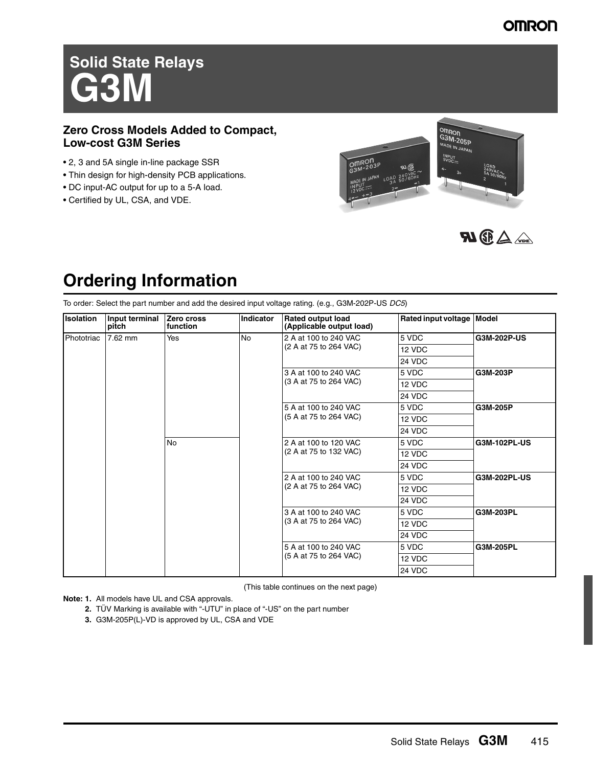### **OMRON**

# **Solid State Relays G3M**

### **Zero Cross Models Added to Compact, Low-cost G3M Series**

- 2, 3 and 5A single in-line package SSR
- Thin design for high-density PCB applications.
- DC input-AC output for up to a 5-A load.
- Certified by UL, CSA, and VDE.





## **Ordering Information**

To order: Select the part number and add the desired input voltage rating. (e.g., G3M-202P-US *DC5*)

| Isolation  | Input terminal<br>pitch | Zero cross<br>function | <b>Indicator</b>       | <b>Rated output load</b><br>(Applicable output load) | Rated input voltage   Model |              |
|------------|-------------------------|------------------------|------------------------|------------------------------------------------------|-----------------------------|--------------|
| Phototriac | 7.62 mm                 | Yes                    | <b>No</b>              | 2 A at 100 to 240 VAC                                | 5 VDC                       | G3M-202P-US  |
|            |                         |                        |                        | (2 A at 75 to 264 VAC)                               | 12 VDC                      |              |
|            |                         |                        |                        |                                                      | 24 VDC                      |              |
|            |                         |                        |                        | 3 A at 100 to 240 VAC                                | 5 VDC                       | G3M-203P     |
|            |                         |                        |                        | (3 A at 75 to 264 VAC)                               | 12 VDC                      |              |
|            |                         |                        |                        |                                                      | 24 VDC                      |              |
|            |                         |                        |                        | 5 A at 100 to 240 VAC                                | 5 VDC                       | G3M-205P     |
|            |                         |                        |                        | (5 A at 75 to 264 VAC)                               | 12 VDC                      |              |
|            |                         |                        |                        |                                                      | 24 VDC                      |              |
|            |                         | <b>No</b>              |                        | 2 A at 100 to 120 VAC                                | 5 VDC                       | G3M-102PL-US |
|            | 2 A at 100 to 240 VAC   |                        |                        | (2 A at 75 to 132 VAC)                               | 12 VDC                      |              |
|            |                         |                        |                        |                                                      | 24 VDC                      |              |
|            |                         | 5 VDC                  | G3M-202PL-US           |                                                      |                             |              |
|            |                         |                        | (2 A at 75 to 264 VAC) | 12 VDC                                               |                             |              |
|            |                         | 24 VDC                 |                        |                                                      |                             |              |
|            |                         |                        |                        | 3 A at 100 to 240 VAC                                | 5 VDC                       | G3M-203PL    |
|            |                         |                        |                        | (3 A at 75 to 264 VAC)                               | 12 VDC                      |              |
|            |                         |                        |                        |                                                      | 24 VDC                      |              |
|            |                         |                        |                        | 5 A at 100 to 240 VAC                                | 5 VDC                       | G3M-205PL    |
|            |                         |                        |                        | (5 A at 75 to 264 VAC)                               | 12 VDC                      |              |
|            |                         |                        |                        |                                                      | 24 VDC                      |              |

(This table continues on the next page)

**Note: 1.** All models have UL and CSA approvals.

- **2.** TÜV Marking is available with "-UTU" in place of "-US" on the part number
- **3.** G3M-205P(L)-VD is approved by UL, CSA and VDE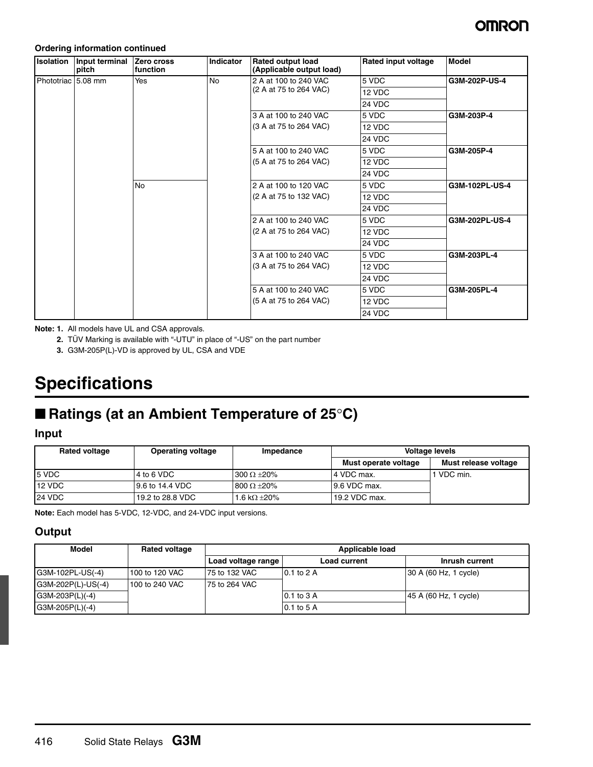#### **Ordering information continued**

| Isolation          | Input terminal<br>pitch | Zero cross<br>function | <b>Indicator</b> | <b>Rated output load</b><br>(Applicable output load) | Rated input voltage | <b>Model</b>   |
|--------------------|-------------------------|------------------------|------------------|------------------------------------------------------|---------------------|----------------|
| Phototriac 5.08 mm |                         | Yes                    | No               | 2 A at 100 to 240 VAC                                | 5 VDC               | G3M-202P-US-4  |
|                    |                         |                        |                  | (2 A at 75 to 264 VAC)                               | 12 VDC              |                |
|                    |                         |                        |                  |                                                      | 24 VDC              |                |
|                    |                         |                        |                  | 3 A at 100 to 240 VAC                                | 5 VDC               | G3M-203P-4     |
|                    |                         |                        |                  | (3 A at 75 to 264 VAC)                               | 12 VDC              |                |
|                    |                         |                        |                  |                                                      | 24 VDC              |                |
|                    |                         |                        |                  | 5 A at 100 to 240 VAC                                | 5 VDC               | G3M-205P-4     |
|                    |                         |                        |                  | (5 A at 75 to 264 VAC)                               | 12 VDC              |                |
|                    |                         |                        |                  |                                                      | 24 VDC              |                |
|                    |                         | <b>No</b>              |                  | 2 A at 100 to 120 VAC                                | 5 VDC               | G3M-102PL-US-4 |
|                    |                         |                        |                  | (2 A at 75 to 132 VAC)                               | 12 VDC              |                |
|                    |                         |                        |                  |                                                      | 24 VDC              |                |
|                    |                         |                        |                  | 2 A at 100 to 240 VAC                                | 5 VDC               | G3M-202PL-US-4 |
|                    |                         |                        |                  | (2 A at 75 to 264 VAC)                               | 12 VDC              |                |
|                    |                         |                        |                  |                                                      | 24 VDC              |                |
|                    |                         |                        |                  | 3 A at 100 to 240 VAC                                | 5 VDC               | G3M-203PL-4    |
|                    |                         |                        |                  | (3 A at 75 to 264 VAC)                               | 12 VDC              |                |
|                    |                         |                        |                  |                                                      | 24 VDC              |                |
|                    |                         |                        |                  | 5 A at 100 to 240 VAC                                | 5 VDC               | G3M-205PL-4    |
|                    |                         |                        |                  | (5 A at 75 to 264 VAC)                               | 12 VDC              |                |
|                    |                         |                        |                  |                                                      | 24 VDC              |                |

**Note: 1.** All models have UL and CSA approvals.

**2.** TÜV Marking is available with "-UTU" in place of "-US" on the part number

**3.** G3M-205P(L)-VD is approved by UL, CSA and VDE

## **Specifications**

## ■ **Ratings (at an Ambient Temperature of 25°C)**

### **Input**

| <b>Rated voltage</b> | <b>Operating voltage</b> | Impedance             |                      | <b>Voltage levels</b> |
|----------------------|--------------------------|-----------------------|----------------------|-----------------------|
|                      |                          |                       | Must operate voltage | Must release voltage  |
| 5 VDC                | 4 to 6 VDC               | $300 \Omega + 20\%$   | l 4 VDC max.         | VDC min.              |
| 12 VDC               | 9.6 to 14.4 VDC          | $800 \Omega \pm 20\%$ | 9.6 VDC max.         |                       |
| <b>24 VDC</b>        | 19.2 to 28.8 VDC         | 1.6 k $\Omega$ ±20%   | 19.2 VDC max.        |                       |

**Note:** Each model has 5-VDC, 12-VDC, and 24-VDC input versions.

### **Output**

| Model              | <b>Rated voltage</b> | Applicable load    |                |                       |  |  |  |  |  |
|--------------------|----------------------|--------------------|----------------|-----------------------|--|--|--|--|--|
|                    |                      | Load voltage range | Load current   | Inrush current        |  |  |  |  |  |
| G3M-102PL-US(-4)   | 100 to 120 VAC       | 75 to 132 VAC      | $0.1$ to $2$ A | 30 A (60 Hz, 1 cycle) |  |  |  |  |  |
| G3M-202P(L)-US(-4) | 100 to 240 VAC       | 75 to 264 VAC      |                |                       |  |  |  |  |  |
| $G3M-203P(L)(-4)$  |                      |                    | $0.1$ to $3$ A | 45 A (60 Hz, 1 cycle) |  |  |  |  |  |
| G3M-205P(L)(-4)    |                      |                    | 0.1 to 5 A     |                       |  |  |  |  |  |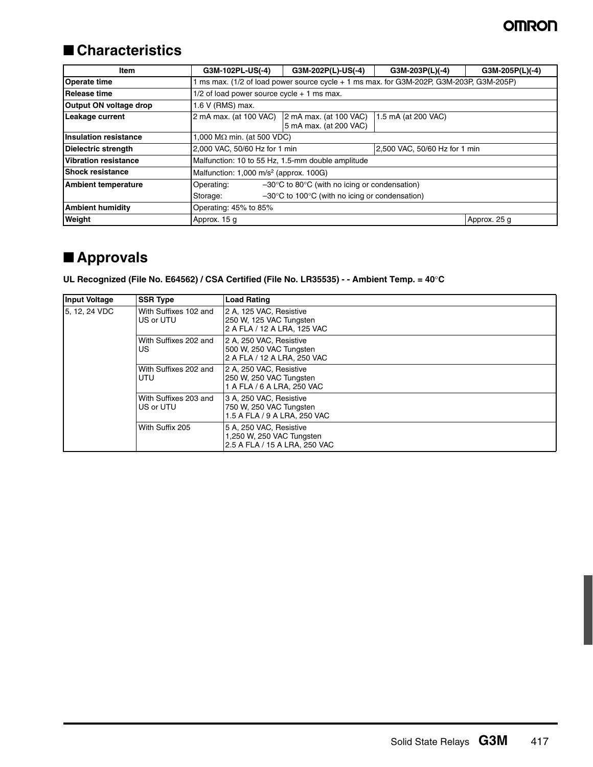## ■ **Characteristics**

| <b>Item</b>                  | G3M-102PL-US(-4)                                               | G3M-202P(L)-US(-4)<br>G3M-203P(L)(-4)<br>G3M-205P(L)(-4)                              |  |  |  |  |  |  |  |  |
|------------------------------|----------------------------------------------------------------|---------------------------------------------------------------------------------------|--|--|--|--|--|--|--|--|
| <b>Operate time</b>          |                                                                | ms max. (1/2 of load power source cycle + 1 ms max. for G3M-202P, G3M-203P, G3M-205P) |  |  |  |  |  |  |  |  |
| Release time                 | $1/2$ of load power source cycle $+1$ ms max.                  |                                                                                       |  |  |  |  |  |  |  |  |
| Output ON voltage drop       | 1.6 V (RMS) max.                                               |                                                                                       |  |  |  |  |  |  |  |  |
| Leakage current              | 2 mA max. (at 100 VAC)                                         | $2$ mA max. (at 100 VAC)<br>1.5 mA (at 200 VAC)<br>5 mA max. (at 200 VAC)             |  |  |  |  |  |  |  |  |
| <b>Insulation resistance</b> | 1,000 M $\Omega$ min. (at 500 VDC)                             |                                                                                       |  |  |  |  |  |  |  |  |
| <b>Dielectric strength</b>   | 2,500 VAC, 50/60 Hz for 1 min<br>2,000 VAC, 50/60 Hz for 1 min |                                                                                       |  |  |  |  |  |  |  |  |
| Vibration resistance         | Malfunction: 10 to 55 Hz, 1.5-mm double amplitude              |                                                                                       |  |  |  |  |  |  |  |  |
| <b>Shock resistance</b>      | Malfunction: $1,000 \text{ m/s}^2$ (approx. 100G)              |                                                                                       |  |  |  |  |  |  |  |  |
| <b>Ambient temperature</b>   | Operating:                                                     | $-30^{\circ}$ C to 80 $^{\circ}$ C (with no icing or condensation)                    |  |  |  |  |  |  |  |  |
|                              | Storage:                                                       | $-30^{\circ}$ C to 100 $^{\circ}$ C (with no icing or condensation)                   |  |  |  |  |  |  |  |  |
| <b>Ambient humidity</b>      | Operating: 45% to 85%                                          |                                                                                       |  |  |  |  |  |  |  |  |
| Weight                       | Approx. 15 g                                                   | Approx. 25 g                                                                          |  |  |  |  |  |  |  |  |

## ■ **Approvals**

### **UL Recognized (File No. E64562) / CSA Certified (File No. LR35535) - - Ambient Temp. = 40**°**C**

| <b>Input Voltage</b> | <b>SSR Type</b>                    | Load Rating                                                                           |
|----------------------|------------------------------------|---------------------------------------------------------------------------------------|
| 5. 12. 24 VDC        | With Suffixes 102 and<br>US or UTU | 2 A, 125 VAC, Resistive<br>250 W, 125 VAC Tungsten<br>2 A FLA / 12 A LRA, 125 VAC     |
|                      | With Suffixes 202 and<br>US.       | 2 A, 250 VAC, Resistive<br>500 W, 250 VAC Tungsten<br>2 A FLA / 12 A LRA, 250 VAC     |
|                      | With Suffixes 202 and<br>UTU       | 2 A, 250 VAC, Resistive<br>250 W, 250 VAC Tungsten<br>1 A FLA / 6 A LRA, 250 VAC      |
|                      | With Suffixes 203 and<br>US or UTU | 3 A, 250 VAC, Resistive<br>750 W, 250 VAC Tungsten<br>1.5 A FLA / 9 A LRA, 250 VAC    |
|                      | With Suffix 205                    | 5 A, 250 VAC, Resistive<br>1,250 W, 250 VAC Tungsten<br>2.5 A FLA / 15 A LRA. 250 VAC |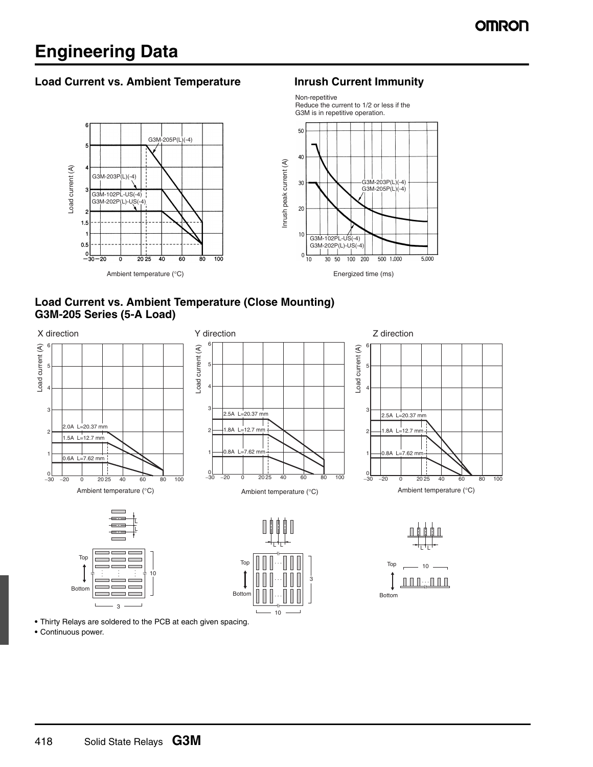## **Engineering Data**

### Load Current vs. Ambient Temperature **Interact Interact Interact Personal Current Immunity**



Non-repetitive

### **Load Current vs. Ambient Temperature (Close Mounting) G3M-205 Series (5-A Load)**



**•** Thirty Relays are soldered to the PCB at each given spacing.

• Continuous power.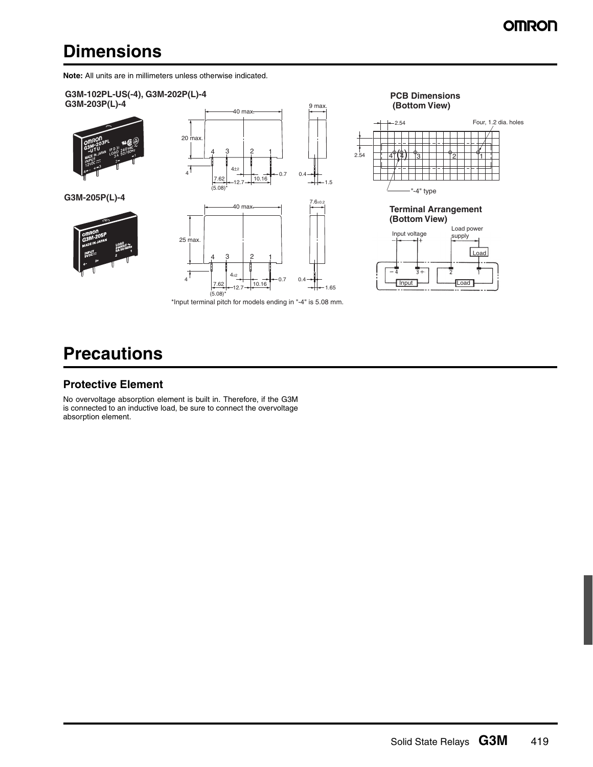## **Dimensions**

**Note:** All units are in millimeters unless otherwise indicated.



## **Precautions**

#### **Protective Element**

No overvoltage absorption element is built in. Therefore, if the G3M is connected to an inductive load, be sure to connect the overvoltage absorption element.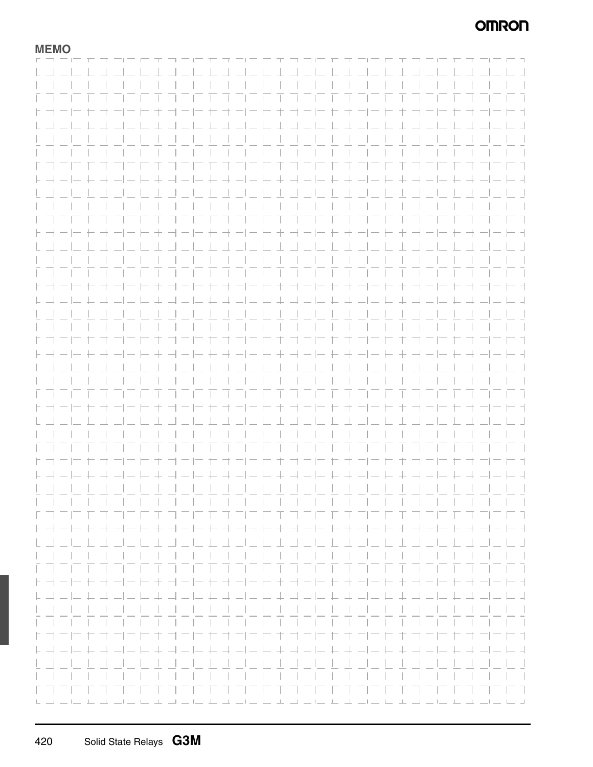## **OMRON**

### **MEMO**

|                                                                |        |                                                                               |        | <u>LIL LA BIL LA BEL LA BIL LA B</u>                             |  |  |          |      |   |  |          |  | $\Box$                                 |
|----------------------------------------------------------------|--------|-------------------------------------------------------------------------------|--------|------------------------------------------------------------------|--|--|----------|------|---|--|----------|--|----------------------------------------|
|                                                                |        |                                                                               |        |                                                                  |  |  |          |      |   |  |          |  |                                        |
|                                                                |        |                                                                               |        |                                                                  |  |  |          |      |   |  |          |  | and the                                |
|                                                                |        |                                                                               |        |                                                                  |  |  |          |      |   |  |          |  |                                        |
|                                                                |        |                                                                               |        |                                                                  |  |  |          |      |   |  |          |  |                                        |
|                                                                | $\top$ |                                                                               | $\pm$  | コーヒ セオーヒヒ セコーヒ セコーヒ セコーヒ                                         |  |  |          |      |   |  |          |  | H 1                                    |
|                                                                |        |                                                                               |        |                                                                  |  |  |          |      |   |  |          |  |                                        |
|                                                                |        |                                                                               |        | ユコーレ キコーヒ キューレ キューレ キューレ キーレ キューレ キューレ                           |  |  |          |      |   |  |          |  | - 4                                    |
|                                                                |        |                                                                               |        |                                                                  |  |  |          |      |   |  |          |  |                                        |
|                                                                |        |                                                                               |        | .                                                                |  |  |          |      |   |  |          |  | and the state                          |
|                                                                |        |                                                                               |        |                                                                  |  |  |          |      |   |  |          |  |                                        |
|                                                                |        |                                                                               |        |                                                                  |  |  |          |      |   |  |          |  |                                        |
|                                                                |        |                                                                               |        |                                                                  |  |  |          |      |   |  |          |  |                                        |
|                                                                |        |                                                                               |        | コーヒキ コーヒキ オコーヒ キ コーヒ モ オ コーヒ キ ゴ                                 |  |  |          |      |   |  |          |  | ロコ                                     |
|                                                                |        |                                                                               |        |                                                                  |  |  |          |      |   |  |          |  |                                        |
|                                                                |        | ト ┥ ―│― ┾ ┽ ―│― ├- ┼ ┥ ―│― ┼ ┽ ―│― ├- ┼ ┥ ―│― ┼ ┽ ―│― ├- ┼ ┥ ―│― ┼ ┽ ―│― ├- ┤ |        |                                                                  |  |  |          |      |   |  |          |  |                                        |
|                                                                |        |                                                                               |        | .                                                                |  |  |          |      |   |  |          |  |                                        |
|                                                                |        |                                                                               |        |                                                                  |  |  |          |      |   |  |          |  |                                        |
|                                                                |        |                                                                               |        |                                                                  |  |  |          |      |   |  |          |  |                                        |
|                                                                |        |                                                                               |        |                                                                  |  |  |          |      |   |  |          |  |                                        |
|                                                                |        |                                                                               |        | .                                                                |  |  |          |      |   |  |          |  | ET.                                    |
|                                                                |        |                                                                               |        |                                                                  |  |  |          |      |   |  |          |  |                                        |
|                                                                |        |                                                                               |        | キヨートキョートキヨートキョートキヨート                                             |  |  |          |      |   |  |          |  | $-1-1-1$                               |
|                                                                |        |                                                                               |        |                                                                  |  |  |          |      |   |  |          |  |                                        |
|                                                                |        |                                                                               |        | _______________________                                          |  |  |          |      |   |  |          |  | $\mathbf{1}$                           |
|                                                                |        |                                                                               |        |                                                                  |  |  |          |      |   |  |          |  | $\mathbf{1}$                           |
|                                                                |        |                                                                               |        |                                                                  |  |  |          |      |   |  |          |  |                                        |
|                                                                |        |                                                                               |        |                                                                  |  |  |          |      |   |  |          |  | $-1$ $-1$ $-1$                         |
|                                                                |        |                                                                               |        |                                                                  |  |  |          |      |   |  |          |  |                                        |
|                                                                |        |                                                                               | $\top$ | コーヒキ ナーヒト ナコーヒ ヤオーヒヒキヨー                                          |  |  |          |      |   |  |          |  | H 1                                    |
|                                                                |        |                                                                               |        |                                                                  |  |  |          |      |   |  |          |  |                                        |
| $\vdash \rightrightarrows \rightrightarrows \rightrightarrows$ |        |                                                                               |        |                                                                  |  |  |          |      |   |  |          |  |                                        |
|                                                                |        |                                                                               |        |                                                                  |  |  |          |      |   |  |          |  |                                        |
|                                                                |        |                                                                               |        | .                                                                |  |  | .        |      |   |  |          |  | $\sim$ 1 $\sim$ 1                      |
|                                                                |        |                                                                               |        | .                                                                |  |  |          |      |   |  |          |  | $\sim$ 1 $\sim$ 1                      |
|                                                                |        |                                                                               |        |                                                                  |  |  |          |      |   |  |          |  |                                        |
|                                                                |        |                                                                               |        | ____________________________                                     |  |  |          |      |   |  |          |  | $\Box$                                 |
|                                                                |        |                                                                               |        |                                                                  |  |  |          |      |   |  |          |  |                                        |
|                                                                |        |                                                                               |        |                                                                  |  |  |          |      |   |  |          |  |                                        |
|                                                                |        |                                                                               |        |                                                                  |  |  |          |      |   |  |          |  |                                        |
|                                                                |        |                                                                               |        |                                                                  |  |  |          |      |   |  |          |  |                                        |
|                                                                |        |                                                                               |        |                                                                  |  |  |          |      |   |  |          |  |                                        |
|                                                                |        |                                                                               |        |                                                                  |  |  |          |      |   |  |          |  | $\sim$                                 |
|                                                                |        |                                                                               |        | .                                                                |  |  |          |      |   |  |          |  | 口工                                     |
|                                                                |        |                                                                               |        |                                                                  |  |  |          |      |   |  |          |  |                                        |
|                                                                |        |                                                                               |        | + - - - + - - - - + - - - + + - - - + - - + -                    |  |  |          |      |   |  |          |  | ーーーー                                   |
|                                                                |        |                                                                               |        |                                                                  |  |  |          |      |   |  |          |  |                                        |
|                                                                |        |                                                                               |        | エココロセユコロヒエココロセユココヒエココ                                            |  |  |          |      |   |  |          |  | $\perp$ $\perp$ $\perp$                |
|                                                                |        |                                                                               |        |                                                                  |  |  |          |      |   |  |          |  |                                        |
|                                                                |        |                                                                               |        |                                                                  |  |  |          |      |   |  |          |  | $\mathbf{1}$                           |
|                                                                |        |                                                                               |        |                                                                  |  |  |          |      |   |  |          |  |                                        |
|                                                                |        |                                                                               |        | .                                                                |  |  |          |      |   |  |          |  |                                        |
|                                                                |        |                                                                               |        | コーヒキオーヒトキヨーヒキオーヒトキヨーヒ                                            |  |  |          |      |   |  |          |  | H 1                                    |
|                                                                |        |                                                                               |        |                                                                  |  |  |          |      |   |  |          |  |                                        |
|                                                                |        | ┣-┥╼╟╸╄╌╃╼╢╼┝╸╋╶┩╼╟╾╊╌╉╼╢╼┝╸╋╶╣╼╟╾╊╶╉╼╢╾┝╸╋╶╣╼╟╾╊╌╉╼╢╾┝╸╣                     |        |                                                                  |  |  |          |      |   |  |          |  |                                        |
|                                                                |        |                                                                               |        |                                                                  |  |  |          |      |   |  |          |  |                                        |
|                                                                |        | <u>U JULI U JULI U JULI U JULI U JULI U JULI U JULI U JULI</u>                |        |                                                                  |  |  |          |      |   |  |          |  |                                        |
|                                                                |        |                                                                               |        |                                                                  |  |  |          |      |   |  |          |  |                                        |
|                                                                |        |                                                                               |        |                                                                  |  |  |          |      |   |  |          |  |                                        |
|                                                                |        |                                                                               |        |                                                                  |  |  |          |      |   |  |          |  | ר ד                                    |
|                                                                |        |                                                                               |        |                                                                  |  |  |          |      |   |  |          |  |                                        |
|                                                                |        |                                                                               | $+$    |                                                                  |  |  |          |      |   |  |          |  | - -                                    |
|                                                                |        |                                                                               |        |                                                                  |  |  |          |      |   |  |          |  |                                        |
|                                                                |        |                                                                               |        |                                                                  |  |  |          |      |   |  |          |  |                                        |
|                                                                |        |                                                                               |        |                                                                  |  |  |          |      |   |  |          |  |                                        |
|                                                                |        |                                                                               |        |                                                                  |  |  |          |      |   |  |          |  | $\mathbb{R}$ . The set of $\mathbb{R}$ |
| רדה הרה                                                        |        |                                                                               |        |                                                                  |  |  |          |      |   |  | 三门工工工工工工 |  |                                        |
|                                                                |        |                                                                               |        |                                                                  |  |  |          |      |   |  |          |  |                                        |
| $\vdash \neg \vdash \neg \vdash$                               |        |                                                                               |        | オーヒキ オーヒトキ                                                       |  |  | ヨーヒモオーヒヒ |      |   |  |          |  | - -                                    |
|                                                                |        |                                                                               |        |                                                                  |  |  |          |      |   |  |          |  |                                        |
|                                                                |        |                                                                               |        |                                                                  |  |  |          |      |   |  |          |  | $-1$                                   |
|                                                                |        |                                                                               |        |                                                                  |  |  |          |      |   |  |          |  |                                        |
|                                                                |        |                                                                               |        |                                                                  |  |  |          |      |   |  |          |  | $\sim$ 1 $\sim$ 1                      |
|                                                                |        |                                                                               |        |                                                                  |  |  |          |      |   |  |          |  |                                        |
|                                                                |        |                                                                               |        |                                                                  |  |  |          |      |   |  |          |  |                                        |
|                                                                |        |                                                                               |        |                                                                  |  |  |          |      |   |  |          |  |                                        |
|                                                                |        |                                                                               |        |                                                                  |  |  |          |      |   |  |          |  |                                        |
|                                                                |        |                                                                               |        | ナオコニヒキヨニヒセ                                                       |  |  |          | エコニロ | 工 |  |          |  | コニヒキ                                   |
|                                                                |        |                                                                               |        |                                                                  |  |  |          |      |   |  |          |  |                                        |
|                                                                |        | トコート トコート キコート キュートキュート キュート キート キュート トキートト                                   |        |                                                                  |  |  |          |      |   |  |          |  |                                        |
|                                                                |        |                                                                               |        |                                                                  |  |  |          |      |   |  |          |  |                                        |
|                                                                |        |                                                                               |        |                                                                  |  |  |          |      |   |  |          |  |                                        |
|                                                                |        |                                                                               |        |                                                                  |  |  |          |      |   |  |          |  |                                        |
|                                                                |        |                                                                               |        |                                                                  |  |  |          |      |   |  |          |  |                                        |
|                                                                |        |                                                                               |        |                                                                  |  |  |          |      |   |  |          |  | T T                                    |
|                                                                |        |                                                                               |        | سانت لبرنك كالتراك كرنك بالركاب لبرنك كالتراكر كرنك والتراكر لتر |  |  |          |      |   |  |          |  | المراكب الكاريك الكاريكية              |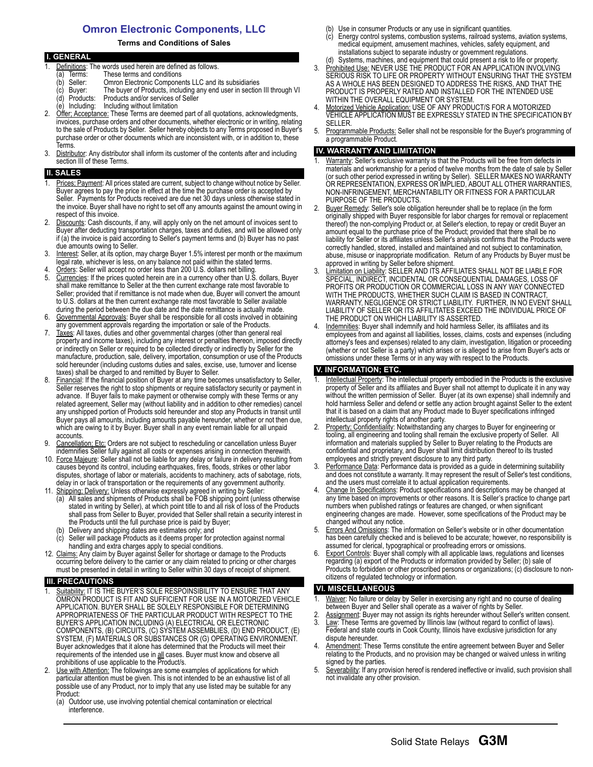### **Omron Electronic Components, LLC**

#### **Terms and Conditions of Sales**

|    | <b>I. GENERAL</b>                                                                         |
|----|-------------------------------------------------------------------------------------------|
|    | Definitions: The words used herein are defined as follows.                                |
|    | These terms and conditions<br>Terms:<br>a)                                                |
|    | Omron Electronic Components LLC and its subsidiaries<br>Seller:<br>(b                     |
|    | The buyer of Products, including any end user in section III through VI<br>(c) Buyer:     |
|    | Products and/or services of Seller<br>(d) Products:                                       |
|    | (e) Including: Including without limitation                                               |
| 2. | Offer: Acceptance: These Terms are deemed part of all quotations, acknowledgments,        |
|    | invoices, purchase orders and other documents, whether electronic or in writing, relating |
|    | to the sale of Products by Seller. Seller hereby objects to any Terms proposed in Buyer's |
|    | purchase order or other documents which are inconsistent with, or in addition to, these   |
|    | Terms.                                                                                    |

3. Distributor: Any distributor shall inform its customer of the contents after and including section III of these Terms.

#### **SALES**

- Prices: Payment: All prices stated are current, subject to change without notice by Seller. Buyer agrees to pay the price in effect at the time the purchase order is accepted by Seller. Payments for Products received are due net 30 days unless otherwise stated in the invoice. Buyer shall have no right to set off any amounts against the amount owing in respect of this invoice.
- Discounts: Cash discounts, if any, will apply only on the net amount of invoices sent to Buyer after deducting transportation charges, taxes and duties, and will be allowed only if (a) the invoice is paid according to Seller's payment terms and (b) Buyer has no past due amounts owing to Seller.
- 3. Interest: Seller, at its option, may charge Buyer 1.5% interest per month or the maximum legal rate, whichever is less, on any balance not paid within the stated terms.
- 4. Orders: Seller will accept no order less than 200 U.S. dollars net billing.<br>5. Currencies: If the prices quoted herein are in a currency other than U.S. Currencies: If the prices quoted herein are in a currency other than U.S. dollars, Buyer shall make remittance to Seller at the then current exchange rate most favorable to Seller; provided that if remittance is not made when due, Buyer will convert the amount to U.S. dollars at the then current exchange rate most favorable to Seller available during the period between the due date and the date remittance is actually made.
- 6. Governmental Approvals: Buyer shall be responsible for all costs involved in obtaining any government approvals regarding the importation or sale of the Products.
- 7. Taxes: All taxes, duties and other governmental charges (other than general real property and income taxes), including any interest or penalties thereon, imposed directly or indirectly on Seller or required to be collected directly or indirectly by Seller for the manufacture, production, sale, delivery, importation, consumption or use of the Products sold hereunder (including customs duties and sales, excise, use, turnover and license taxes) shall be charged to and remitted by Buyer to Seller.
- 8. Financial: If the financial position of Buyer at any time becomes unsatisfactory to Seller, Seller reserves the right to stop shipments or require satisfactory security or payment in advance. If Buyer fails to make payment or otherwise comply with these Terms or any related agreement, Seller may (without liability and in addition to other remedies) cancel any unshipped portion of Products sold hereunder and stop any Products in transit until Buyer pays all amounts, including amounts payable hereunder, whether or not then due, which are owing to it by Buyer. Buyer shall in any event remain liable for all unpaid accounts.
- 9. Cancellation; Etc: Orders are not subject to rescheduling or cancellation unless Buyer indemnifies Seller fully against all costs or expenses arising in connection therewith.
- 10. Force Majeure: Seller shall not be liable for any delay or failure in delivery resulting from causes beyond its control, including earthquakes, fires, floods, strikes or other labor disputes, shortage of labor or materials, accidents to machinery, acts of sabotage, riots, delay in or lack of transportation or the requirements of any government authority.
- 11. Shipping; Delivery: Unless otherwise expressly agreed in writing by Seller:
	- (a) All sales and shipments of Products shall be FOB shipping point (unless otherwise stated in writing by Seller), at which point title to and all risk of loss of the Products shall pass from Seller to Buyer, provided that Seller shall retain a security interest in the Products until the full purchase price is paid by Buyer;
	- Delivery and shipping dates are estimates only; and
	- Seller will package Products as it deems proper for protection against normal handling and extra charges apply to special conditions.
- 12. Claims: Any claim by Buyer against Seller for shortage or damage to the Products occurring before delivery to the carrier or any claim related to pricing or other charges must be presented in detail in writing to Seller within 30 days of receipt of shipment.

#### **III. PRECAUTIONS**

- Suitability: IT IS THE BUYER'S SOLE RESPOINSIBILITY TO ENSURE THAT ANY OMRON PRODUCT IS FIT AND SUFFICIENT FOR USE IN A MOTORIZED VEHICLE APPLICATION. BUYER SHALL BE SOLELY RESPONSIBLE FOR DETERMINING APPROPRIATENESS OF THE PARTICULAR PRODUCT WITH RESPECT TO THE BUYER'S APPLICATION INCLUDING (A) ELECTRICAL OR ELECTRONIC COMPONENTS, (B) CIRCUITS, (C) SYSTEM ASSEMBLIES, (D) END PRODUCT, (E) SYSTEM, (F) MATERIALS OR SUBSTANCES OR (G) OPERATING ENVIRONMENT. Buyer acknowledges that it alone has determined that the Products will meet their requirements of the intended use in all cases. Buyer must know and observe all prohibitions of use applicable to the Product/s.
- 2. Use with Attention: The followings are some examples of applications for which particular attention must be given. This is not intended to be an exhaustive list of all possible use of any Product, nor to imply that any use listed may be suitable for any Product:
	- (a) Outdoor use, use involving potential chemical contamination or electrical interference.
- (b) Use in consumer Products or any use in significant quantities.
- (c) Energy control systems, combustion systems, railroad systems, aviation systems, medical equipment, amusement machines, vehicles, safety equipment, and installations subject to separate industry or government regulations. (d) Systems, machines, and equipment that could present a risk to life or property.
- 3. Prohibited Use: NEVER USE THE PRODUCT FOR AN APPLICATION INVOLVING SERIOUS RISK TO LIFE OR PROPERTY WITHOUT ENSURING THAT THE SYSTEM AS A WHOLE HAS BEEN DESIGNED TO ADDRESS THE RISKS, AND THAT THE PRODUCT IS PROPERLY RATED AND INSTALLED FOR THE INTENDED USE WITHIN THE OVERALL EQUIPMENT OR SYSTEM.
- 4. Motorized Vehicle Application: USE OF ANY PRODUCT/S FOR A MOTORIZED VEHICLE APPLICATION MUST BE EXPRESSLY STATED IN THE SPECIFICATION BY SELLER.
- 5. Programmable Products: Seller shall not be responsible for the Buyer's programming of a programmable Product.

#### **IV. WARRANTY AND LIMITATION**

- Warranty: Seller's exclusive warranty is that the Products will be free from defects in materials and workmanship for a period of twelve months from the date of sale by Seller (or such other period expressed in writing by Seller). SELLER MAKES NO WARRANTY OR REPRESENTATION, EXPRESS OR IMPLIED, ABOUT ALL OTHER WARRANTIES, NON-INFRINGEMENT, MERCHANTABILITY OR FITNESS FOR A PARTICULAR PURPOSE OF THE PRODUCTS.
- 2. Buyer Remedy: Seller's sole obligation hereunder shall be to replace (in the form originally shipped with Buyer responsible for labor charges for removal or replacement thereof) the non-complying Product or, at Seller's election, to repay or credit Buyer an amount equal to the purchase price of the Product; provided that there shall be no liability for Seller or its affiliates unless Seller's analysis confirms that the Products were correctly handled, stored, installed and maintained and not subject to contamination, abuse, misuse or inappropriate modification. Return of any Products by Buyer must be approved in writing by Seller before shipment.
- 3. Limitation on Liability: SELLER AND ITS AFFILIATES SHALL NOT BE LIABLE FOR SPECIAL, INDIRECT, INCIDENTAL OR CONSEQUENTIAL DAMAGES, LOSS OF PROFITS OR PRODUCTION OR COMMERCIAL LOSS IN ANY WAY CONNECTED WITH THE PRODUCTS, WHETHER SUCH CLAIM IS BASED IN CONTRACT, WARRANTY, NEGLIGENCE OR STRICT LIABILITY. FURTHER, IN NO EVENT SHALL LIABILITY OF SELLER OR ITS AFFILITATES EXCEED THE INDIVIDUAL PRICE OF THE PRODUCT ON WHICH LIABILITY IS ASSERTED.
- Indemnities: Buyer shall indemnify and hold harmless Seller, its affiliates and its employees from and against all liabilities, losses, claims, costs and expenses (including attorney's fees and expenses) related to any claim, investigation, litigation or proceeding (whether or not Seller is a party) which arises or is alleged to arise from Buyer's acts or omissions under these Terms or in any way with respect to the Products.

#### **V. INFORMATION; ETC.**

- 1. Intellectual Property: The intellectual property embodied in the Products is the exclusive property of Seller and its affiliates and Buyer shall not attempt to duplicate it in any way without the written permission of Seller. Buyer (at its own expense) shall indemnify and hold harmless Seller and defend or settle any action brought against Seller to the extent that it is based on a claim that any Product made to Buyer specifications infringed intellectual property rights of another party.
- Property: Confidentiality: Notwithstanding any charges to Buyer for engineering or tooling, all engineering and tooling shall remain the exclusive property of Seller. All information and materials supplied by Seller to Buyer relating to the Products are confidential and proprietary, and Buyer shall limit distribution thereof to its trusted employees and strictly prevent disclosure to any third party.
- 3. Performance Data: Performance data is provided as a guide in determining suitability and does not constitute a warranty. It may represent the result of Seller's test conditions, and the users must correlate it to actual application requirements.
- Change In Specifications: Product specifications and descriptions may be changed at any time based on improvements or other reasons. It is Seller's practice to change part numbers when published ratings or features are changed, or when significant engineering changes are made. However, some specifications of the Product may be changed without any notice.
- 5. Errors And Omissions: The information on Seller's website or in other documentation has been carefully checked and is believed to be accurate; however, no responsibility is assumed for clerical, typographical or proofreading errors or omissions.
- 6. Export Controls: Buyer shall comply with all applicable laws, regulations and licenses regarding (a) export of the Products or information provided by Seller; (b) sale of Products to forbidden or other proscribed persons or organizations; (c) disclosure to noncitizens of regulated technology or information.

#### **VI. MISCELLANEOUS**

- Waiver: No failure or delay by Seller in exercising any right and no course of dealing between Buyer and Seller shall operate as a waiver of rights by Seller.
- 2. Assignment: Buyer may not assign its rights hereunder without Seller's written consent. 3. Law: These Terms are governed by Illinois law (without regard to conflict of laws).
- Federal and state courts in Cook County, Illinois have exclusive jurisdiction for any dispute hereunder. 4. Amendment: These Terms constitute the entire agreement between Buyer and Seller
- relating to the Products, and no provision may be changed or waived unless in writing signed by the parties.
- 5. Severability: If any provision hereof is rendered ineffective or invalid, such provision shall not invalidate any other provision.